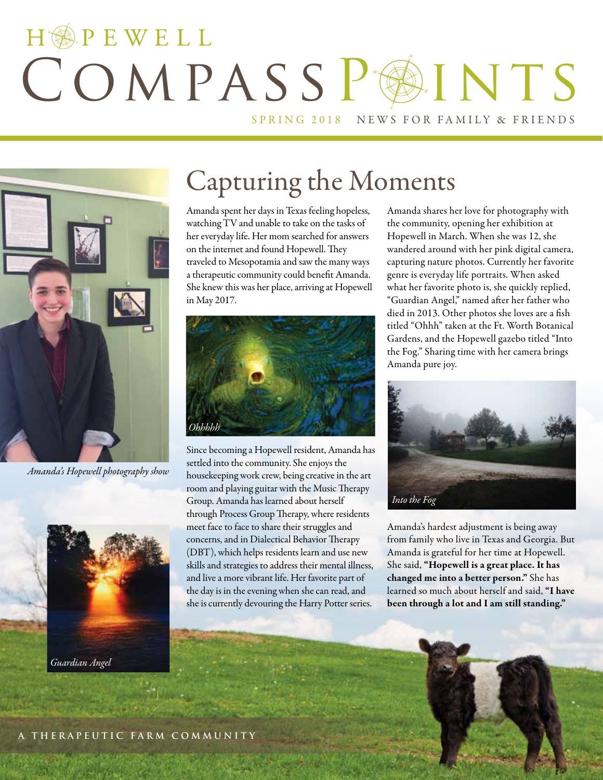## HOPEWELL COMPASSPAINTS SPRING 2018 NEWS FOR FAMILY & FRIENDS



*Amanda's Hopewell photography show*



### Capturing the Moments

Amanda spent her days in Texas feeling hopeless, watching TV and unable to take on the tasks of her everyday life. Her mom searched for answers on the internet and found Hopewell. They traveled to Mesopotamia and saw the many ways a therapeutic community could benefit Amanda. She knew this was her place, arriving at Hopewell in May 2017.



Since becoming a Hopewell resident, Amanda has settled into the community. She enjoys the housekeeping work crew, being creative in the art room and playing guitar with the Music Therapy Group. Amanda has learned about herself through Process Group Therapy, where residents meet face to face to share their struggles and concerns, and in Dialectical Behavior Therapy (DBT), which helps residents learn and use new skills and strategies to address their mental illness, and live a more vibrant life. Her favorite part of the day is in the evening when she can read, and she is currently devouring the Harry Potter series.

Amanda shares her love for photography with the community, opening her exhibition at Hopewell in March. When she was 12, she wandered around with her pink digital camera, capturing nature photos. Currently her favorite genre is everyday life portraits. When asked what her favorite photo is, she quickly replied, "Guardian Angel," named after her father who died in 2013. Other photos she loves are a fish titled "Ohhh" taken at the Ft. Worth Botanical Gardens, and the Hopewell gazebo titled "Into the Fog." Sharing time with her camera brings Amanda pure joy.



Amanda's hardest adjustment is being away from family who live in Texas and Georgia. But Amanda is grateful for her time at Hopewell. She said, "Hopewell is a great place. It has changed me into a better person." She has learned so much about herself and said, "I have been through a lot and I am still standing."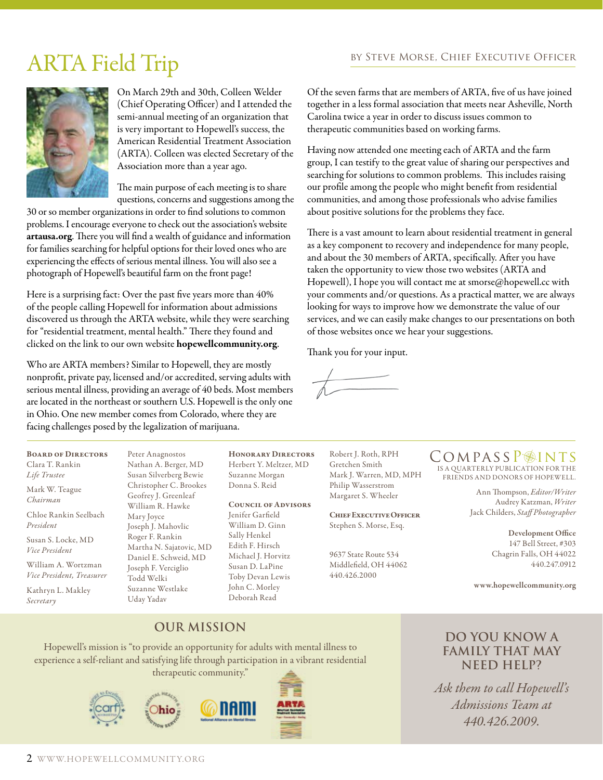### ARTA Field Trip BY STEVE MORSE, CHIEF EXECUTIVE OFFICER



On March 29th and 30th, Colleen Welder (Chief Operating Officer) and I attended the semi-annual meeting of an organization that is very important to Hopewell's success, the American Residential Treatment Association (ARTA). Colleen was elected Secretary of the Association more than a year ago.

The main purpose of each meeting is to share questions, concerns and suggestions among the

30 or so member organizations in order to find solutions to common problems. I encourage everyone to check out the association's website artausa.org. There you will find a wealth of guidance and information for families searching for helpful options for their loved ones who are experiencing the effects of serious mental illness. You will also see a photograph of Hopewell's beautiful farm on the front page!

Here is a surprising fact: Over the past five years more than 40% of the people calling Hopewell for information about admissions discovered us through the ARTA website, while they were searching for "residential treatment, mental health." There they found and clicked on the link to our own website hopewellcommunity.org.

Who are ARTA members? Similar to Hopewell, they are mostly nonprofit, private pay, licensed and/or accredited, serving adults with serious mental illness, providing an average of 40 beds. Most members are located in the northeast or southern U.S. Hopewell is the only one in Ohio. One new member comes from Colorado, where they are facing challenges posed by the legalization of marijuana.

Peter Anagnostos

Of the seven farms that are members of ARTA, five of us have joined together in a less formal association that meets near Asheville, North Carolina twice a year in order to discuss issues common to therapeutic communities based on working farms.

Having now attended one meeting each of ARTA and the farm group, I can testify to the great value of sharing our perspectives and searching for solutions to common problems. This includes raising our profile among the people who might benefit from residential communities, and among those professionals who advise families about positive solutions for the problems they face.

There is a vast amount to learn about residential treatment in general as a key component to recovery and independence for many people, and about the 30 members of ARTA, specifically. After you have taken the opportunity to view those two websites (ARTA and Hopewell), I hope you will contact me at smorse@hopewell.cc with your comments and/or questions. As a practical matter, we are always looking for ways to improve how we demonstrate the value of our services, and we can easily make changes to our presentations on both of those websites once we hear your suggestions.

Thank you for your input.

Board of Directors Clara T. Rankin *Life Trustee* Mark W. Teague *Chairman* Chloe Rankin Seelbach

*President*

Susan S. Locke, MD *Vice President*

William A. Wortzman *Vice President, Treasurer*

Kathryn L. Makley *Secretary*

Nathan A. Berger, MD Susan Silverberg Bewie Christopher C. Brookes Geofrey J. Greenleaf William R. Hawke Mary Joyce Joseph J. Mahovlic Roger F. Rankin Martha N. Sajatovic, MD Daniel E. Schweid, MD Joseph F. Verciglio Todd Welki Suzanne Westlake Uday Yadav

Honorary Directors Herbert Y. Meltzer, MD Suzanne Morgan Donna S. Reid

#### Council of Advisors

Jenifer Garfield William D. Ginn Sally Henkel Edith F. Hirsch Michael J. Horvitz Susan D. LaPine Toby Devan Lewis John C. Morley Deborah Read

Robert J. Roth, RPH Gretchen Smith Mark J. Warren, MD, MPH Philip Wasserstrom Margaret S. Wheeler

Chief Executive Officer Stephen S. Morse, Esq.

9637 State Route 534 Middlefield, OH 44062 440.426.2000

#### COMPASSP<sup>INTS</sup>

IS A QUARTERLY PUBLICATION FOR THE FRIENDS AND DONORS OF HOPEWELL.

> Ann Thompson, *Editor/Writer* Audrey Katzman, *Writer*  Jack Childers, *Staff Photographer*

> > Development Office 147 Bell Street, #303 Chagrin Falls, OH 44022 440.247.0912

www.hopewellcommunity.org

#### **Our Mission**

Hopewell's mission is "to provide an opportunity for adults with mental illness to experience a self-reliant and satisfying life through participation in a vibrant residential therapeutic community."



#### **Do you know a family that may need help?**

*Ask them to call Hopewell's Admissions Team at 440.426.2009.*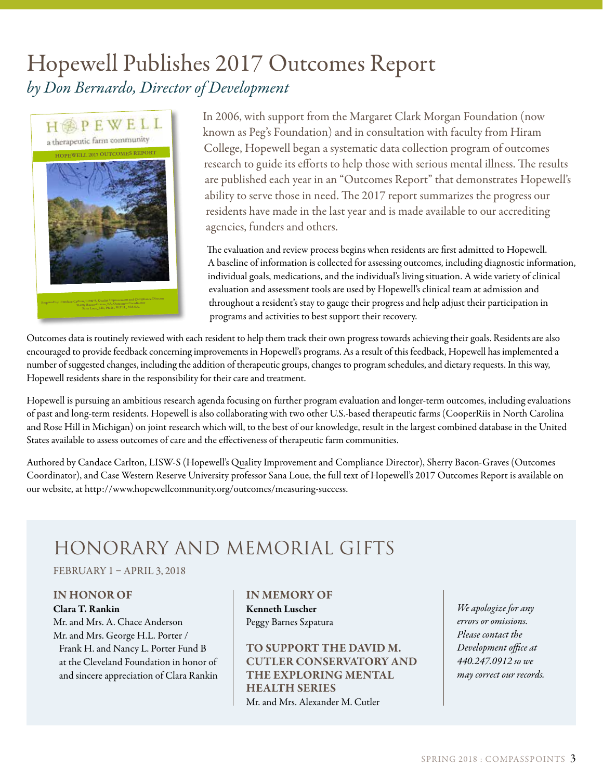### Hopewell Publishes 2017 Outcomes Report *by Don Bernardo, Director of Development*



In 2006, with support from the Margaret Clark Morgan Foundation (now known as Peg's Foundation) and in consultation with faculty from Hiram College, Hopewell began a systematic data collection program of outcomes research to guide its efforts to help those with serious mental illness. The results are published each year in an "Outcomes Report" that demonstrates Hopewell's ability to serve those in need. The 2017 report summarizes the progress our residents have made in the last year and is made available to our accrediting agencies, funders and others.

The evaluation and review process begins when residents are first admitted to Hopewell. A baseline of information is collected for assessing outcomes, including diagnostic information, individual goals, medications, and the individual's living situation. A wide variety of clinical evaluation and assessment tools are used by Hopewell's clinical team at admission and throughout a resident's stay to gauge their progress and help adjust their participation in programs and activities to best support their recovery.

Outcomes data is routinely reviewed with each resident to help them track their own progress towards achieving their goals. Residents are also encouraged to provide feedback concerning improvements in Hopewell's programs. As a result of this feedback, Hopewell has implemented a number of suggested changes, including the addition of therapeutic groups, changes to program schedules, and dietary requests. In this way, Hopewell residents share in the responsibility for their care and treatment.

Hopewell is pursuing an ambitious research agenda focusing on further program evaluation and longer-term outcomes, including evaluations of past and long-term residents. Hopewell is also collaborating with two other U.S.-based therapeutic farms (CooperRiis in North Carolina and Rose Hill in Michigan) on joint research which will, to the best of our knowledge, result in the largest combined database in the United States available to assess outcomes of care and the effectiveness of therapeutic farm communities.

Authored by Candace Carlton, LISW-S (Hopewell's Quality Improvement and Compliance Director), Sherry Bacon-Graves (Outcomes Coordinator), and Case Western Reserve University professor Sana Loue, the full text of Hopewell's 2017 Outcomes Report is available on our website, at http://www.hopewellcommunity.org/outcomes/measuring-success.

### Honorary and Memorial Gifts

FEBRUARY 1 – APRIL 3, 2018

#### IN HONOR OF

Clara T. Rankin Mr. and Mrs. A. Chace Anderson Mr. and Mrs. George H.L. Porter / Frank H. and Nancy L. Porter Fund B at the Cleveland Foundation in honor of and sincere appreciation of Clara Rankin

#### IN MEMORY OF

Kenneth Luscher Peggy Barnes Szpatura

TO SUPPORT THE DAVID M. CUTLER CONSERVATORY AND THE EXPLORING MENTAL HEALTH SERIES Mr. and Mrs. Alexander M. Cutler

*We apologize for any errors or omissions. Please contact the Development office at 440.247.0912 so we may correct our records.*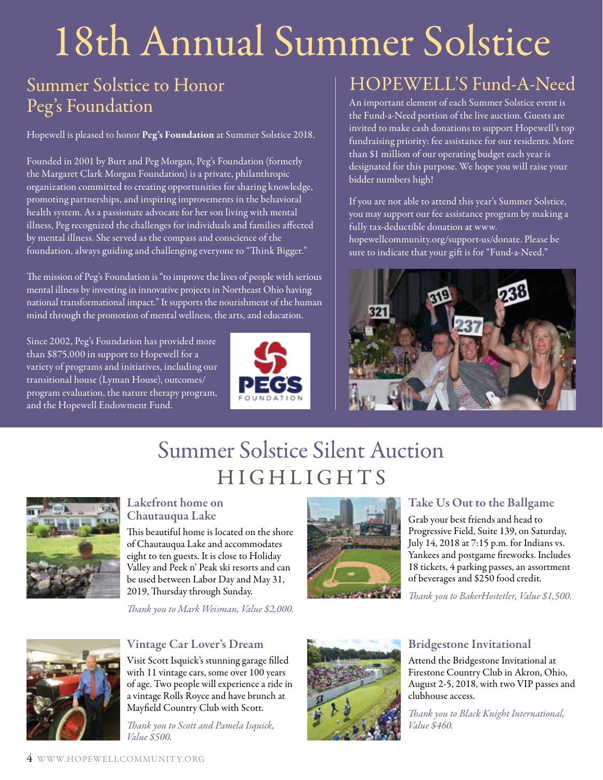# 18th Annual Summer Solstice

### Summer Solstice to Honor Peg's Foundation

Hopewell is pleased to honor Peg's Foundation at Summer Solstice 2018.

Founded in 2001 by Burt and Peg Morgan, Peg's Foundation (formerly the Margaret Clark Morgan Foundation) is a private, philanthropic organization committed to creating opportunities for sharing knowledge, promoting partnerships, and inspiring improvements in the behavioral health system. As a passionate advocate for her son living with mental illness, Peg recognized the challenges for individuals and families affected by mental illness. She served as the compass and conscience of the foundation, always guiding and challenging everyone to "Think Bigger."

The mission of Peg's Foundation is "to improve the lives of people with serious mental illness by investing in innovative projects in Northeast Ohio having national transformational impact." It supports the nourishment of the human mind through the promotion of mental wellness, the arts, and education.

Since 2002, Peg's Foundation has provided more than \$875,000 in support to Hopewell for a variety of programs and initiatives, including our transitional house (Lyman House), outcomes/ program evaluation, the nature therapy program, and the Hopewell Endowment Fund.



### HOPEWELL'S Fund-A-Need

An important element of each Summer Solstice event is the Fund-a-Need portion of the live auction. Guests are invited to make cash donations to support Hopewell's top fundraising priority: fee assistance for our residents. More than \$1 million of our operating budget each year is designated for this purpose. We hope you will raise your bidder numbers high!

If you are not able to attend this year's Summer Solstice, you may support our fee assistance program by making a fully tax-deductible donation at www. hopewellcommunity.org/support-us/donate. Please be sure to indicate that your gift is for "Fund-a-Need."



### Summer Solstice Silent Auction HIGHLIGHTS



#### Lakefront home on Chautauqua Lake

This beautiful home is located on the shore of Chautauqua Lake and accommodates eight to ten guests. It is close to Holiday Valley and Peek n' Peak ski resorts and can be used between Labor Day and May 31, 2019, Thursday through Sunday.

*Thank you to Mark Weisman, Value \$2,000.*



#### Take Us Out to the Ballgame

Grab your best friends and head to Progressive Field, Suite 139, on Saturday, July 14, 2018 at 7:15 p.m. for Indians vs. Yankees and postgame fireworks. Includes 18 tickets, 4 parking passes, an assortment of beverages and \$250 food credit.

*Thank you to BakerHostetler, Value \$1,500.*



#### Vintage Car Lover's Dream

Visit Scott Isquick's stunning garage filled with 11 vintage cars, some over 100 years of age. Two people will experience a ride in a vintage Rolls Royce and have brunch at Mayfield Country Club with Scott.

*Thank you to Scott and Pamela Isquick, Value \$500.*



#### Bridgestone Invitational

Attend the Bridgestone Invitational at Firestone Country Club in Akron, Ohio, August 2-5, 2018, with two VIP passes and clubhouse access.

*Thank you to Black Knight International, Value \$460.*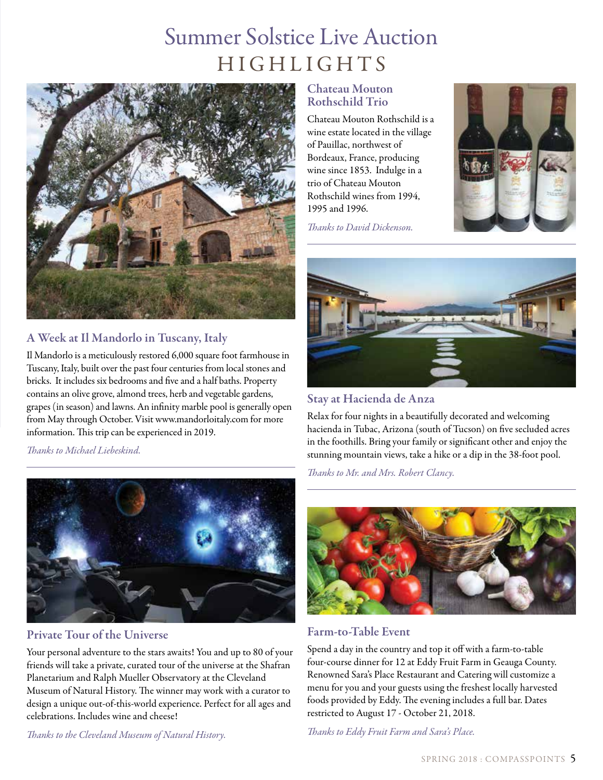### Summer Solstice Live Auction HIGHLIGHTS



#### A Week at Il Mandorlo in Tuscany, Italy

Il Mandorlo is a meticulously restored 6,000 square foot farmhouse in Tuscany, Italy, built over the past four centuries from local stones and bricks. It includes six bedrooms and five and a half baths. Property contains an olive grove, almond trees, herb and vegetable gardens, grapes (in season) and lawns. An infinity marble pool is generally open from May through October. Visit www.mandorloitaly.com for more information. This trip can be experienced in 2019.

*Thanks to Michael Liebeskind.*



#### Private Tour of the Universe

Your personal adventure to the stars awaits! You and up to 80 of your friends will take a private, curated tour of the universe at the Shafran Planetarium and Ralph Mueller Observatory at the Cleveland Museum of Natural History. The winner may work with a curator to design a unique out-of-this-world experience. Perfect for all ages and celebrations. Includes wine and cheese!

*Thanks to the Cleveland Museum of Natural History.*

#### Chateau Mouton Rothschild Trio

Chateau Mouton Rothschild is a wine estate located in the village of Pauillac, northwest of Bordeaux, France, producing wine since 1853. Indulge in a trio of Chateau Mouton Rothschild wines from 1994, 1995 and 1996.

*Thanks to David Dickenson.* 





Stay at Hacienda de Anza

Relax for four nights in a beautifully decorated and welcoming hacienda in Tubac, Arizona (south of Tucson) on five secluded acres in the foothills. Bring your family or significant other and enjoy the stunning mountain views, take a hike or a dip in the 38-foot pool.

*Thanks to Mr. and Mrs. Robert Clancy.*



#### Farm-to-Table Event

Spend a day in the country and top it off with a farm-to-table four-course dinner for 12 at Eddy Fruit Farm in Geauga County. Renowned Sara's Place Restaurant and Catering will customize a menu for you and your guests using the freshest locally harvested foods provided by Eddy. The evening includes a full bar. Dates restricted to August 17 - October 21, 2018.

*Thanks to Eddy Fruit Farm and Sara's Place.*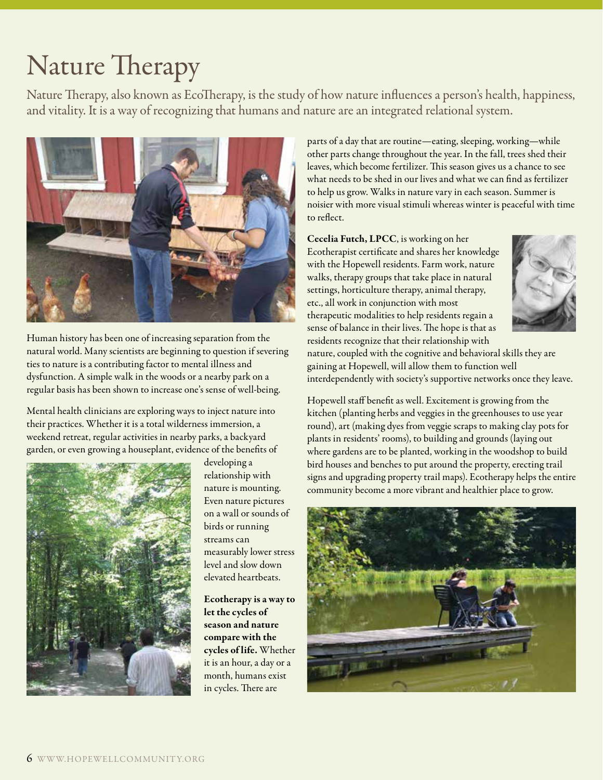### Nature Therapy

Nature Therapy, also known as EcoTherapy, is the study of how nature influences a person's health, happiness, and vitality. It is a way of recognizing that humans and nature are an integrated relational system.



Human history has been one of increasing separation from the natural world. Many scientists are beginning to question if severing ties to nature is a contributing factor to mental illness and dysfunction. A simple walk in the woods or a nearby park on a regular basis has been shown to increase one's sense of well-being.

Mental health clinicians are exploring ways to inject nature into their practices. Whether it is a total wilderness immersion, a weekend retreat, regular activities in nearby parks, a backyard garden, or even growing a houseplant, evidence of the benefits of



developing a relationship with nature is mounting. Even nature pictures on a wall or sounds of birds or running streams can measurably lower stress level and slow down elevated heartbeats.

Ecotherapy is a way to let the cycles of season and nature compare with the cycles of life. Whether it is an hour, a day or a month, humans exist in cycles. There are

parts of a day that are routine—eating, sleeping, working—while other parts change throughout the year. In the fall, trees shed their leaves, which become fertilizer. This season gives us a chance to see what needs to be shed in our lives and what we can find as fertilizer to help us grow. Walks in nature vary in each season. Summer is noisier with more visual stimuli whereas winter is peaceful with time to reflect.

Cecelia Futch, LPCC, is working on her Ecotherapist certificate and shares her knowledge with the Hopewell residents. Farm work, nature walks, therapy groups that take place in natural settings, horticulture therapy, animal therapy, etc., all work in conjunction with most therapeutic modalities to help residents regain a sense of balance in their lives. The hope is that as residents recognize that their relationship with



nature, coupled with the cognitive and behavioral skills they are gaining at Hopewell, will allow them to function well interdependently with society's supportive networks once they leave.

Hopewell staff benefit as well. Excitement is growing from the kitchen (planting herbs and veggies in the greenhouses to use year round), art (making dyes from veggie scraps to making clay pots for plants in residents' rooms), to building and grounds (laying out where gardens are to be planted, working in the woodshop to build bird houses and benches to put around the property, erecting trail signs and upgrading property trail maps). Ecotherapy helps the entire community become a more vibrant and healthier place to grow.

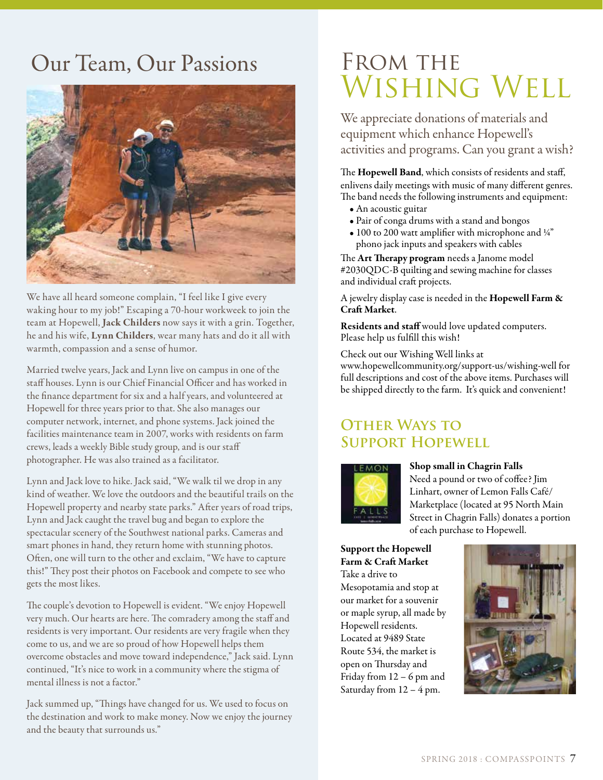### Our Team, Our Passions



We have all heard someone complain, "I feel like I give every waking hour to my job!" Escaping a 70-hour workweek to join the team at Hopewell, Jack Childers now says it with a grin. Together, he and his wife, Lynn Childers, wear many hats and do it all with warmth, compassion and a sense of humor.

Married twelve years, Jack and Lynn live on campus in one of the staff houses. Lynn is our Chief Financial Officer and has worked in the finance department for six and a half years, and volunteered at Hopewell for three years prior to that. She also manages our computer network, internet, and phone systems. Jack joined the facilities maintenance team in 2007, works with residents on farm crews, leads a weekly Bible study group, and is our staff photographer. He was also trained as a facilitator.

Lynn and Jack love to hike. Jack said, "We walk til we drop in any kind of weather. We love the outdoors and the beautiful trails on the Hopewell property and nearby state parks." After years of road trips, Lynn and Jack caught the travel bug and began to explore the spectacular scenery of the Southwest national parks. Cameras and smart phones in hand, they return home with stunning photos. Often, one will turn to the other and exclaim, "We have to capture this!" They post their photos on Facebook and compete to see who gets the most likes.

The couple's devotion to Hopewell is evident. "We enjoy Hopewell very much. Our hearts are here. The comradery among the staff and residents is very important. Our residents are very fragile when they come to us, and we are so proud of how Hopewell helps them overcome obstacles and move toward independence," Jack said. Lynn continued, "It's nice to work in a community where the stigma of mental illness is not a factor."

Jack summed up, "Things have changed for us. We used to focus on the destination and work to make money. Now we enjoy the journey and the beauty that surrounds us."

### FROM THE Wishing Well

We appreciate donations of materials and equipment which enhance Hopewell's activities and programs. Can you grant a wish?

The Hopewell Band, which consists of residents and staff, enlivens daily meetings with music of many different genres. The band needs the following instruments and equipment:

- An acoustic guitar
- Pair of conga drums with a stand and bongos
- 100 to 200 watt amplifier with microphone and 1/4" phono jack inputs and speakers with cables

The Art Therapy program needs a Janome model #2030QDC-B quilting and sewing machine for classes and individual craft projects.

A jewelry display case is needed in the Hopewell Farm & Craft Market.

Residents and staff would love updated computers. Please help us fulfill this wish!

Check out our Wishing Well links at

www.hopewellcommunity.org/support-us/wishing-well for full descriptions and cost of the above items. Purchases will be shipped directly to the farm. It's quick and convenient!

#### **Other Ways to Support Hopewell**



#### Shop small in Chagrin Falls

Need a pound or two of coffee? Jim Linhart, owner of Lemon Falls Café/ Marketplace (located at 95 North Main Street in Chagrin Falls) donates a portion of each purchase to Hopewell.

#### Support the Hopewell Farm & Craft Market

Take a drive to Mesopotamia and stop at our market for a souvenir or maple syrup, all made by Hopewell residents. Located at 9489 State Route 534, the market is open on Thursday and Friday from 12 – 6 pm and Saturday from 12 – 4 pm.